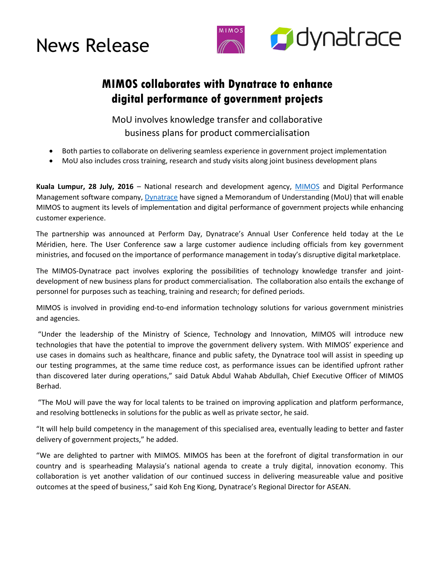



# **MIMOS collaborates with Dynatrace to enhance digital performance of government projects**

MoU involves knowledge transfer and collaborative business plans for product commercialisation

- Both parties to collaborate on delivering seamless experience in government project implementation
- MoU also includes cross training, research and study visits along joint business development plans

**Kuala Lumpur, 28 July, 2016** – National research and development agency, [MIMOS](http://www.mimos.my/) and Digital Performance Management software company[, Dynatrace](http://www.dynatrace.com/en/) have signed a Memorandum of Understanding (MoU) that will enable MIMOS to augment its levels of implementation and digital performance of government projects while enhancing customer experience.

The partnership was announced at Perform Day, Dynatrace's Annual User Conference held today at the Le Méridien, here. The User Conference saw a large customer audience including officials from key government ministries, and focused on the importance of performance management in today's disruptive digital marketplace.

The MIMOS-Dynatrace pact involves exploring the possibilities of technology knowledge transfer and jointdevelopment of new business plans for product commercialisation. The collaboration also entails the exchange of personnel for purposes such as teaching, training and research; for defined periods.

MIMOS is involved in providing end-to-end information technology solutions for various government ministries and agencies.

"Under the leadership of the Ministry of Science, Technology and Innovation, MIMOS will introduce new technologies that have the potential to improve the government delivery system. With MIMOS' experience and use cases in domains such as healthcare, finance and public safety, the Dynatrace tool will assist in speeding up our testing programmes, at the same time reduce cost, as performance issues can be identified upfront rather than discovered later during operations," said Datuk Abdul Wahab Abdullah, Chief Executive Officer of MIMOS Berhad.

"The MoU will pave the way for local talents to be trained on improving application and platform performance, and resolving bottlenecks in solutions for the public as well as private sector, he said.

"It will help build competency in the management of this specialised area, eventually leading to better and faster delivery of government projects," he added.

"We are delighted to partner with MIMOS. MIMOS has been at the forefront of digital transformation in our country and is spearheading Malaysia's national agenda to create a truly digital, innovation economy. This collaboration is yet another validation of our continued success in delivering measureable value and positive outcomes at the speed of business," said Koh Eng Kiong, Dynatrace's Regional Director for ASEAN.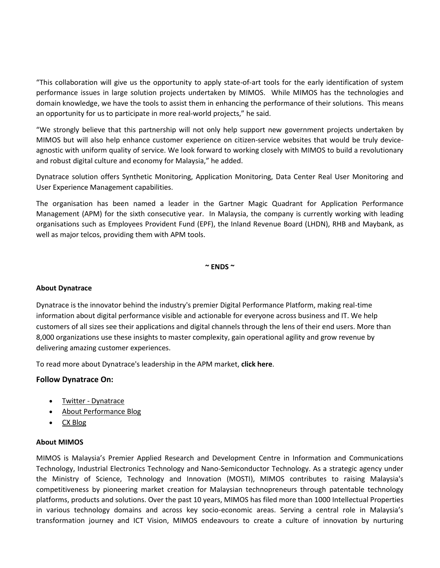"This collaboration will give us the opportunity to apply state-of-art tools for the early identification of system performance issues in large solution projects undertaken by MIMOS. While MIMOS has the technologies and domain knowledge, we have the tools to assist them in enhancing the performance of their solutions. This means an opportunity for us to participate in more real-world projects," he said.

"We strongly believe that this partnership will not only help support new government projects undertaken by MIMOS but will also help enhance customer experience on citizen-service websites that would be truly deviceagnostic with uniform quality of service. We look forward to working closely with MIMOS to build a revolutionary and robust digital culture and economy for Malaysia," he added.

Dynatrace solution offers Synthetic Monitoring, Application Monitoring, Data Center Real User Monitoring and User Experience Management capabilities.

The organisation has been named a leader in the Gartner Magic Quadrant for Application Performance Management (APM) for the sixth consecutive year. In Malaysia, the company is currently working with leading organisations such as Employees Provident Fund (EPF), the Inland Revenue Board (LHDN), RHB and Maybank, as well as major telcos, providing them with APM tools.

**~ ENDS ~**

### **About Dynatrace**

Dynatrace is the innovator behind the industry's premier Digital Performance Platform, making real-time information about digital performance visible and actionable for everyone across business and IT. We help customers of all sizes see their applications and digital channels through the lens of their end users. More than 8,000 organizations use these insights to master complexity, gain operational agility and grow revenue by delivering amazing customer experiences.

To read more about Dynatrace's leadership in the APM market, **[click here](http://www.dynatrace.com/en/about-us/leadership.html)**.

### **Follow Dynatrace On:**

- Twitter [Dynatrace](https://twitter.com/dynatrace)
- [About Performance Blog](http://apmblog.dynatrace.com/)
- [CX Blog](http://cxblog.dynatrace.com/)

### **About MIMOS**

MIMOS is Malaysia's Premier Applied Research and Development Centre in Information and Communications Technology, Industrial Electronics Technology and Nano-Semiconductor Technology. As a strategic agency under the Ministry of Science, Technology and Innovation (MOSTI), MIMOS contributes to raising Malaysia's competitiveness by pioneering market creation for Malaysian technopreneurs through patentable technology platforms, products and solutions. Over the past 10 years, MIMOS has filed more than 1000 Intellectual Properties in various technology domains and across key socio-economic areas. Serving a central role in Malaysia's transformation journey and ICT Vision, MIMOS endeavours to create a culture of innovation by nurturing